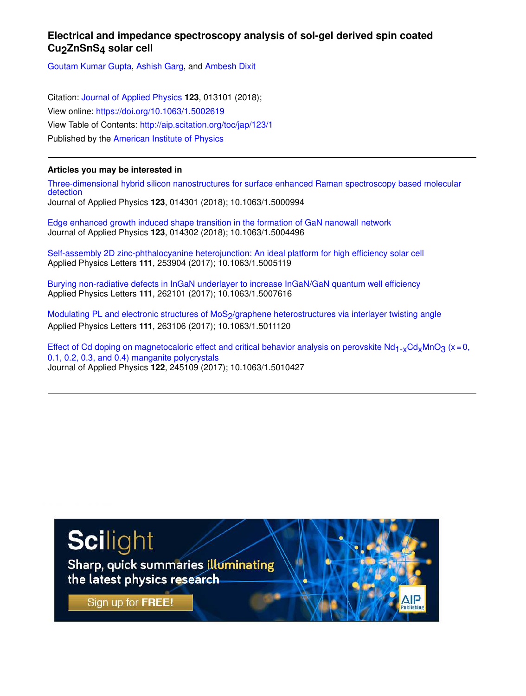# **Electrical and impedance spectroscopy analysis of sol-gel derived spin coated Cu2ZnSnS4 solar cell**

Goutam Kumar Gupta, Ashish Garg, and Ambesh Dixit

Citation: Journal of Applied Physics **123**, 013101 (2018); View online: https://doi.org/10.1063/1.5002619 View Table of Contents: http://aip.scitation.org/toc/jap/123/1 Published by the American Institute of Physics

## **Articles you may be interested in**

Three-dimensional hybrid silicon nanostructures for surface enhanced Raman spectroscopy based molecular detection Journal of Applied Physics **123**, 014301 (2018); 10.1063/1.5000994

Edge enhanced growth induced shape transition in the formation of GaN nanowall network Journal of Applied Physics **123**, 014302 (2018); 10.1063/1.5004496

Self-assembly 2D zinc-phthalocyanine heterojunction: An ideal platform for high efficiency solar cell Applied Physics Letters **111**, 253904 (2017); 10.1063/1.5005119

Burying non-radiative defects in InGaN underlayer to increase InGaN/GaN quantum well efficiency Applied Physics Letters **111**, 262101 (2017); 10.1063/1.5007616

Modulating PL and electronic structures of MoS<sub>2</sub>/graphene heterostructures via interlayer twisting angle Applied Physics Letters **111**, 263106 (2017); 10.1063/1.5011120

Effect of Cd doping on magnetocaloric effect and critical behavior analysis on perovskite Nd<sub>1-x</sub>Cd<sub>x</sub>MnO<sub>3</sub> (x = 0, 0.1, 0.2, 0.3, and 0.4) manganite polycrystals Journal of Applied Physics **122**, 245109 (2017); 10.1063/1.5010427

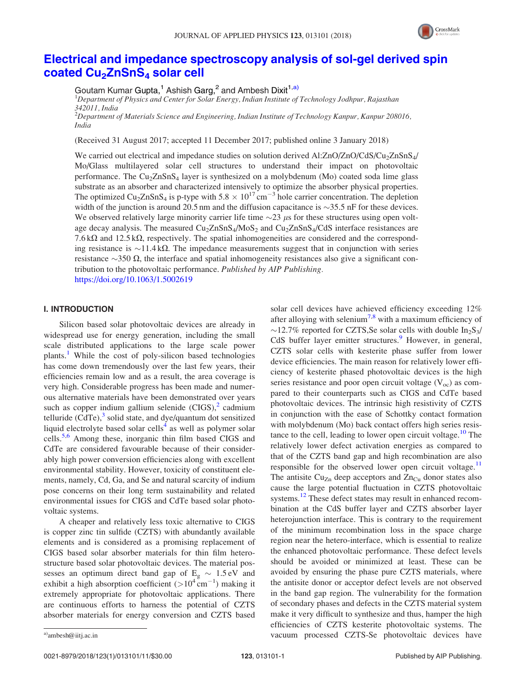

# Electrical and impedance spectroscopy analysis of sol-gel derived spin coated Cu<sub>2</sub>ZnSnS<sub>4</sub> solar cell

Goutam Kumar Gupta,<sup>1</sup> Ashish Garg,<sup>2</sup> and Ambesh Dixit<sup>1,a)</sup>

<sup>1</sup>Department of Physics and Center for Solar Energy, Indian Institute of Technology Jodhpur, Rajasthan 342011, India<br><sup>2</sup>Department of Materials Science and Engineering, Indian Institute of Technology Kanpur, Kanpur 208016,

India

(Received 31 August 2017; accepted 11 December 2017; published online 3 January 2018)

We carried out electrical and impedance studies on solution derived Al:ZnO/ZnO/CdS/Cu<sub>2</sub>ZnSnS<sub>4</sub>/ Mo/Glass multilayered solar cell structures to understand their impact on photovoltaic performance. The  $Cu<sub>2</sub>ZnSnS<sub>4</sub>$  layer is synthesized on a molybdenum (Mo) coated soda lime glass substrate as an absorber and characterized intensively to optimize the absorber physical properties. The optimized Cu<sub>2</sub>ZnSnS<sub>4</sub> is p-type with 5.8  $\times$  10<sup>17</sup> cm<sup>-3</sup> hole carrier concentration. The depletion width of the junction is around 20.5 nm and the diffusion capacitance is  $\sim$ 35.5 nF for these devices. We observed relatively large minority carrier life time  $\sim$ 23  $\mu$ s for these structures using open voltage decay analysis. The measured  $Cu<sub>2</sub>ZnSnS<sub>4</sub>/MoS<sub>2</sub>$  and  $Cu<sub>2</sub>ZnSnS<sub>4</sub>/CdS$  interface resistances are 7.6 k $\Omega$  and 12.5 k $\Omega$ , respectively. The spatial inhomogeneities are considered and the corresponding resistance is  $\sim$ 11.4 k $\Omega$ . The impedance measurements suggest that in conjunction with series resistance  $\sim$ 350  $\Omega$ , the interface and spatial inhomogeneity resistances also give a significant contribution to the photovoltaic performance. Published by AIP Publishing. https://doi.org/10.1063/1.5002619

## I. INTRODUCTION

Silicon based solar photovoltaic devices are already in widespread use for energy generation, including the small scale distributed applications to the large scale power plants.<sup>1</sup> While the cost of poly-silicon based technologies has come down tremendously over the last few years, their efficiencies remain low and as a result, the area coverage is very high. Considerable progress has been made and numerous alternative materials have been demonstrated over years such as copper indium gallium selenide  $(CIGS)$ ,<sup>2</sup> cadmium telluride  $(\hat{C} dTe)^3$  solid state, and dye/quantum dot sensitized liquid electrolyte based solar cells<sup>4</sup> as well as polymer solar cells.<sup>5,6</sup> Among these, inorganic thin film based CIGS and CdTe are considered favourable because of their considerably high power conversion efficiencies along with excellent environmental stability. However, toxicity of constituent elements, namely, Cd, Ga, and Se and natural scarcity of indium pose concerns on their long term sustainability and related environmental issues for CIGS and CdTe based solar photovoltaic systems.

A cheaper and relatively less toxic alternative to CIGS is copper zinc tin sulfide (CZTS) with abundantly available elements and is considered as a promising replacement of CIGS based solar absorber materials for thin film heterostructure based solar photovoltaic devices. The material possesses an optimum direct band gap of  $E<sub>g</sub> \sim 1.5 \text{ eV}$  and exhibit a high absorption coefficient  $(>10^4 \text{ cm}^{-1})$  making it extremely appropriate for photovoltaic applications. There are continuous efforts to harness the potential of CZTS absorber materials for energy conversion and CZTS based

solar cell devices have achieved efficiency exceeding 12% after alloying with selenium<sup>7,8</sup> with a maximum efficiency of  $\sim$ 12.7% reported for CZTS, Se solar cells with double In<sub>2</sub>S<sub>3</sub>/ CdS buffer layer emitter structures.<sup>9</sup> However, in general, CZTS solar cells with kesterite phase suffer from lower device efficiencies. The main reason for relatively lower efficiency of kesterite phased photovoltaic devices is the high series resistance and poor open circuit voltage  $(V_{\text{oc}})$  as compared to their counterparts such as CIGS and CdTe based photovoltaic devices. The intrinsic high resistivity of CZTS in conjunction with the ease of Schottky contact formation with molybdenum (Mo) back contact offers high series resistance to the cell, leading to lower open circuit voltage.<sup>10</sup> The relatively lower defect activation energies as compared to that of the CZTS band gap and high recombination are also responsible for the observed lower open circuit voltage.<sup>11</sup> The antisite Cu<sub>Zn</sub> deep acceptors and  $Zn<sub>Cu</sub>$  donor states also cause the large potential fluctuation in CZTS photovoltaic systems.<sup>12</sup> These defect states may result in enhanced recombination at the CdS buffer layer and CZTS absorber layer heterojunction interface. This is contrary to the requirement of the minimum recombination loss in the space charge region near the hetero-interface, which is essential to realize the enhanced photovoltaic performance. These defect levels should be avoided or minimized at least. These can be avoided by ensuring the phase pure CZTS materials, where the antisite donor or acceptor defect levels are not observed in the band gap region. The vulnerability for the formation of secondary phases and defects in the CZTS material system make it very difficult to synthesize and thus, hamper the high efficiencies of CZTS kesterite photovoltaic systems. The a)ambesh@iitj.ac.in and the subsection of the vacuum processed CZTS-Se photovoltaic devices have and all the subsection of the vacuum processed CZTS-Se photovoltaic devices have and the subsection of the subsection of the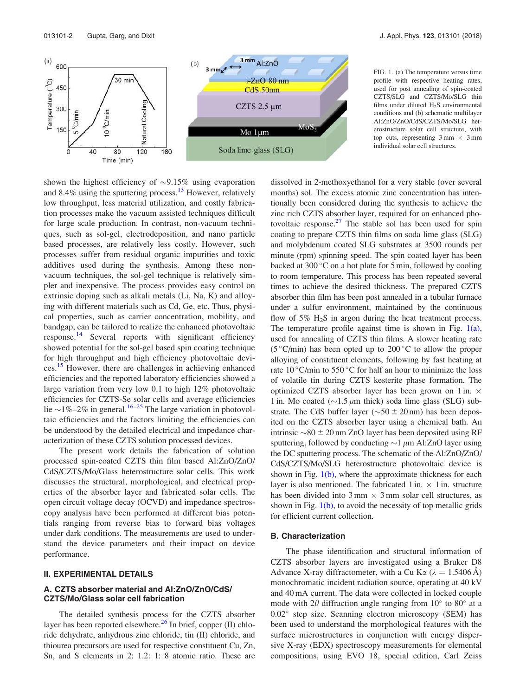



FIG. 1. (a) The temperature versus time profile with respective heating rates, used for post annealing of spin-coated CZTS/SLG and CZTS/Mo/SLG thin films under diluted  $H_2S$  environmental conditions and (b) schematic multilayer Al:ZnO/ZnO/CdS/CZTS/Mo/SLG heterostructure solar cell structure, with top cuts, representing  $3 \text{ mm} \times 3 \text{ mm}$ individual solar cell structures.

shown the highest efficiency of  $\sim$ 9.15% using evaporation and 8.4% using the sputtering process.<sup>13</sup> However, relatively low throughput, less material utilization, and costly fabrication processes make the vacuum assisted techniques difficult for large scale production. In contrast, non-vacuum techniques, such as sol-gel, electrodeposition, and nano particle based processes, are relatively less costly. However, such processes suffer from residual organic impurities and toxic additives used during the synthesis. Among these nonvacuum techniques, the sol-gel technique is relatively simpler and inexpensive. The process provides easy control on extrinsic doping such as alkali metals (Li, Na, K) and alloying with different materials such as Cd, Ge, etc. Thus, physical properties, such as carrier concentration, mobility, and bandgap, can be tailored to realize the enhanced photovoltaic response.<sup>14</sup> Several reports with significant efficiency showed potential for the sol-gel based spin coating technique for high throughput and high efficiency photovoltaic devices.<sup>15</sup> However, there are challenges in achieving enhanced efficiencies and the reported laboratory efficiencies showed a large variation from very low 0.1 to high 12% photovoltaic efficiencies for CZTS-Se solar cells and average efficiencies lie  $\sim$ 1%–2% in general.<sup>16–25</sup> The large variation in photovoltaic efficiencies and the factors limiting the efficiencies can be understood by the detailed electrical and impedance characterization of these CZTS solution processed devices.

The present work details the fabrication of solution processed spin-coated CZTS thin film based Al:ZnO/ZnO/ CdS/CZTS/Mo/Glass heterostructure solar cells. This work discusses the structural, morphological, and electrical properties of the absorber layer and fabricated solar cells. The open circuit voltage decay (OCVD) and impedance spectroscopy analysis have been performed at different bias potentials ranging from reverse bias to forward bias voltages under dark conditions. The measurements are used to understand the device parameters and their impact on device performance.

## II. EXPERIMENTAL DETAILS

## A. CZTS absorber material and Al:ZnO/ZnO/CdS/ CZTS/Mo/Glass solar cell fabrication

The detailed synthesis process for the CZTS absorber layer has been reported elsewhere. $^{26}$  In brief, copper (II) chloride dehydrate, anhydrous zinc chloride, tin (II) chloride, and thiourea precursors are used for respective constituent Cu, Zn, Sn, and S elements in 2: 1.2: 1: 8 atomic ratio. These are dissolved in 2-methoxyethanol for a very stable (over several months) sol. The excess atomic zinc concentration has intentionally been considered during the synthesis to achieve the zinc rich CZTS absorber layer, required for an enhanced photovoltaic response.<sup>27</sup> The stable sol has been used for spin coating to prepare CZTS thin films on soda lime glass (SLG) and molybdenum coated SLG substrates at 3500 rounds per minute (rpm) spinning speed. The spin coated layer has been backed at 300 $\degree$ C on a hot plate for 5 min, followed by cooling to room temperature. This process has been repeated several times to achieve the desired thickness. The prepared CZTS absorber thin film has been post annealed in a tubular furnace under a sulfur environment, maintained by the continuous flow of  $5\%$  H<sub>2</sub>S in argon during the heat treatment process. The temperature profile against time is shown in Fig. 1(a), used for annealing of CZTS thin films. A slower heating rate (5 °C/min) has been opted up to 200 °C to allow the proper alloying of constituent elements, following by fast heating at rate  $10^{\circ}$ C/min to 550 °C for half an hour to minimize the loss of volatile tin during CZTS kesterite phase formation. The optimized CZTS absorber layer has been grown on 1 in.  $\times$ 1 in. Mo coated ( $\sim$ 1.5  $\mu$ m thick) soda lime glass (SLG) substrate. The CdS buffer layer ( $\sim$ 50  $\pm$  20 nm) has been deposited on the CZTS absorber layer using a chemical bath. An intrinsic  $\sim 80 \pm 20$  nm ZnO layer has been deposited using RF sputtering, followed by conducting  $\sim$ 1  $\mu$ m Al:ZnO layer using the DC sputtering process. The schematic of the Al:ZnO/ZnO/ CdS/CZTS/Mo/SLG heterostructure photovoltaic device is shown in Fig.  $1(b)$ , where the approximate thickness for each layer is also mentioned. The fabricated 1 in.  $\times$  1 in. structure has been divided into  $3 \text{ mm} \times 3 \text{ mm}$  solar cell structures, as shown in Fig.  $1(b)$ , to avoid the necessity of top metallic grids for efficient current collection.

## B. Characterization

The phase identification and structural information of CZTS absorber layers are investigated using a Bruker D8 Advance X-ray diffractometer, with a Cu K $\alpha$  ( $\lambda = 1.5406 \text{ Å}$ ) monochromatic incident radiation source, operating at 40 kV and 40 mA current. The data were collected in locked couple mode with  $2\theta$  diffraction angle ranging from  $10^{\circ}$  to  $80^{\circ}$  at a 0.02 step size. Scanning electron microscopy (SEM) has been used to understand the morphological features with the surface microstructures in conjunction with energy dispersive X-ray (EDX) spectroscopy measurements for elemental compositions, using EVO 18, special edition, Carl Zeiss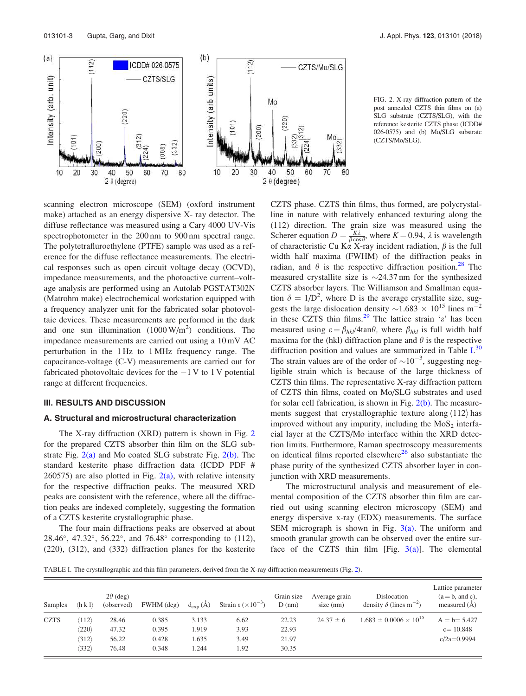

FIG. 2. X-ray diffraction pattern of the post annealed CZTS thin films on (a) SLG substrate (CZTS/SLG), with the reference kesterite CZTS phase (ICDD# 026-0575) and (b) Mo/SLG substrate (CZTS/Mo/SLG).

scanning electron microscope (SEM) (oxford instrument make) attached as an energy dispersive X- ray detector. The diffuse reflectance was measured using a Cary 4000 UV-Vis spectrophotometer in the 200 nm to 900 nm spectral range. The polytetrafluroethylene (PTFE) sample was used as a reference for the diffuse reflectance measurements. The electrical responses such as open circuit voltage decay (OCVD), impedance measurements, and the photoactive current–voltage analysis are performed using an Autolab PGSTAT302N (Matrohm make) electrochemical workstation equipped with a frequency analyzer unit for the fabricated solar photovoltaic devices. These measurements are performed in the dark and one sun illumination  $(1000 \text{ W/m}^2)$  conditions. The impedance measurements are carried out using a 10 mV AC perturbation in the 1 Hz to 1 MHz frequency range. The capacitance-voltage (C-V) measurements are carried out for fabricated photovoltaic devices for the  $-1$  V to 1 V potential range at different frequencies.

#### III. RESULTS AND DISCUSSION

#### A. Structural and microstructural characterization

The X-ray diffraction (XRD) pattern is shown in Fig. 2 for the prepared CZTS absorber thin film on the SLG substrate Fig.  $2(a)$  and Mo coated SLG substrate Fig.  $2(b)$ . The standard kesterite phase diffraction data (ICDD PDF #  $260575$ ) are also plotted in Fig.  $2(a)$ , with relative intensity for the respective diffraction peaks. The measured XRD peaks are consistent with the reference, where all the diffraction peaks are indexed completely, suggesting the formation of a CZTS kesterite crystallographic phase.

The four main diffractions peaks are observed at about 28.46 , 47.32 , 56.22 , and 76.48 corresponding to (112), (220), (312), and (332) diffraction planes for the kesterite CZTS phase. CZTS thin films, thus formed, are polycrystalline in nature with relatively enhanced texturing along the (112) direction. The grain size was measured using the Scherer equation  $D = \frac{K\lambda}{\beta \cos \theta}$ , where  $K = 0.94$ ,  $\lambda$  is wavelength of characteristic Cu K $\alpha$  X-ray incident radiation,  $\beta$  is the full width half maxima (FWHM) of the diffraction peaks in radian, and  $\theta$  is the respective diffraction position.<sup>28</sup> The measured crystallite size is  $\sim$ 24.37 nm for the synthesized CZTS absorber layers. The Williamson and Smallman equation  $\delta = 1/D^2$ , where D is the average crystallite size, suggests the large dislocation density  $\sim 1.683 \times 10^{15}$  lines m<sup>-2</sup> in these CZTS thin films.<sup>29</sup> The lattice strain ' $\varepsilon$ ' has been measured using  $\varepsilon = \beta_{hkl}/4\tan\theta$ , where  $\beta_{hkl}$  is full width half maxima for the (hkl) diffraction plane and  $\theta$  is the respective diffraction position and values are summarized in Table I.<sup>30</sup> The strain values are of the order of  $\sim 10^{-3}$ , suggesting negligible strain which is because of the large thickness of CZTS thin films. The representative X-ray diffraction pattern of CZTS thin films, coated on Mo/SLG substrates and used for solar cell fabrication, is shown in Fig.  $2(b)$ . The measurements suggest that crystallographic texture along  $\langle 112 \rangle$  has improved without any impurity, including the  $MoS<sub>2</sub>$  interfacial layer at the CZTS/Mo interface within the XRD detection limits. Furthermore, Raman spectroscopy measurements on identical films reported elsewhere<sup>26</sup> also substantiate the phase purity of the synthesized CZTS absorber layer in conjunction with XRD measurements.

The microstructural analysis and measurement of elemental composition of the CZTS absorber thin film are carried out using scanning electron microscopy (SEM) and energy dispersive x-ray (EDX) measurements. The surface SEM micrograph is shown in Fig.  $3(a)$ . The uniform and smooth granular growth can be observed over the entire surface of the CZTS thin film [Fig.  $3(a)$ ]. The elemental

TABLE I. The crystallographic and thin film parameters, derived from the X-ray diffraction measurements (Fig. 2).

| Samples     | $\langle h k 1 \rangle$ | $2\theta$ (deg)<br>(observed) | $FWHM$ (deg) | $d_{\text{exp}}(A)$ | Strain $\varepsilon \times 10^{-3}$ ) | Grain size<br>$D$ (nm) | Average grain<br>size $(nm)$ | Dislocation<br>density $\delta$ (lines m <sup>-2</sup> ) | Lattice parameter<br>$(a = b, \text{ and } c),$<br>measured $(A)$ |
|-------------|-------------------------|-------------------------------|--------------|---------------------|---------------------------------------|------------------------|------------------------------|----------------------------------------------------------|-------------------------------------------------------------------|
| <b>CZTS</b> | $\langle 112 \rangle$   | 28.46                         | 0.385        | 3.133               | 6.62                                  | 22.23                  | $24.37 \pm 6$                | $1.683 \pm 0.0006 \times 10^{15}$                        | $A = b = 5.427$                                                   |
|             | $\langle 220 \rangle$   | 47.32                         | 0.395        | 1.919               | 3.93                                  | 22.93                  |                              |                                                          | $c = 10.848$                                                      |
|             | $\langle 312 \rangle$   | 56.22                         | 0.428        | 1.635               | 3.49                                  | 21.97                  |                              |                                                          | $c/2a=0.9994$                                                     |
|             | $\langle 332 \rangle$   | 76.48                         | 0.348        | 1.244               | 1.92                                  | 30.35                  |                              |                                                          |                                                                   |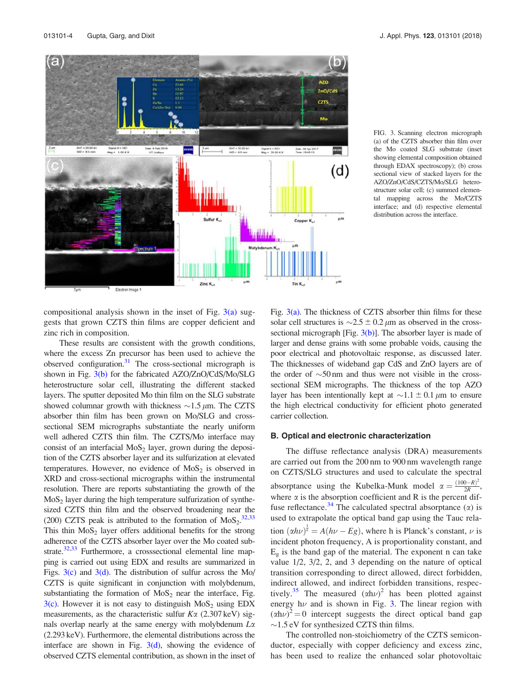

FIG. 3. Scanning electron micrograph (a) of the CZTS absorber thin film over the Mo coated SLG substrate (inset showing elemental composition obtained through EDAX spectroscopy); (b) cross sectional view of stacked layers for the AZO/ZnO/CdS/CZTS/Mo/SLG heterostructure solar cell; (c) summed elemental mapping across the Mo/CZTS interface; and (d) respective elemental distribution across the interface.

compositional analysis shown in the inset of Fig.  $3(a)$  suggests that grown CZTS thin films are copper deficient and zinc rich in composition.

These results are consistent with the growth conditions, where the excess Zn precursor has been used to achieve the observed configuration.<sup>31</sup> The cross-sectional micrograph is shown in Fig. 3(b) for the fabricated AZO/ZnO/CdS/Mo/SLG heterostructure solar cell, illustrating the different stacked layers. The sputter deposited Mo thin film on the SLG substrate showed columnar growth with thickness  $\sim$ 1.5  $\mu$ m. The CZTS absorber thin film has been grown on Mo/SLG and crosssectional SEM micrographs substantiate the nearly uniform well adhered CZTS thin film. The CZTS/Mo interface may consist of an interfacial  $MoS<sub>2</sub>$  layer, grown during the deposition of the CZTS absorber layer and its sulfurization at elevated temperatures. However, no evidence of  $MoS<sub>2</sub>$  is observed in XRD and cross-sectional micrographs within the instrumental resolution. There are reports substantiating the growth of the  $MoS<sub>2</sub>$  layer during the high temperature sulfurization of synthesized CZTS thin film and the observed broadening near the (200) CZTS peak is attributed to the formation of  $M_0S_2$ .<sup>32,33</sup> This thin  $MoS<sub>2</sub>$  layer offers additional benefits for the strong adherence of the CZTS absorber layer over the Mo coated substrate.<sup>32,33</sup> Furthermore, a crosssectional elemental line mapping is carried out using EDX and results are summarized in Figs.  $3(c)$  and  $3(d)$ . The distribution of sulfur across the Mo/ CZTS is quite significant in conjunction with molybdenum, substantiating the formation of  $MoS<sub>2</sub>$  near the interface, Fig.  $3(c)$ . However it is not easy to distinguish MoS<sub>2</sub> using EDX measurements, as the characteristic sulfur  $K\alpha$  (2.307 keV) signals overlap nearly at the same energy with molybdenum  $L\alpha$ (2.293 keV). Furthermore, the elemental distributions across the interface are shown in Fig.  $3(d)$ , showing the evidence of observed CZTS elemental contribution, as shown in the inset of Fig.  $3(a)$ . The thickness of CZTS absorber thin films for these solar cell structures is  $\sim$ 2.5  $\pm$  0.2  $\mu$ m as observed in the crosssectional micrograph  $[Fig. 3(b)]$ . The absorber layer is made of larger and dense grains with some probable voids, causing the poor electrical and photovoltaic response, as discussed later. The thicknesses of wideband gap CdS and ZnO layers are of the order of  $\sim$ 50 nm and thus were not visible in the crosssectional SEM micrographs. The thickness of the top AZO layer has been intentionally kept at  $\sim$ 1.1  $\pm$  0.1  $\mu$ m to ensure the high electrical conductivity for efficient photo generated carrier collection.

#### B. Optical and electronic characterization

The diffuse reflectance analysis (DRA) measurements are carried out from the 200 nm to 900 nm wavelength range on CZTS/SLG structures and used to calculate the spectral absorptance using the Kubelka-Munk model  $\alpha = \frac{(100 - R)^2}{2R}$  $\frac{0-K}{2R}$ , where  $\alpha$  is the absorption coefficient and R is the percent diffuse reflectance.<sup>34</sup> The calculated spectral absorptance ( $\alpha$ ) is used to extrapolate the optical band gap using the Tauc relation  $(\alpha h \nu)^{\frac{1}{n}} = A(h\nu - Eg)$ , where h is Planck's constant,  $\nu$  is incident photon frequency, A is proportionality constant, and  $E_g$  is the band gap of the material. The exponent n can take value 1/2, 3/2, 2, and 3 depending on the nature of optical transition corresponding to direct allowed, direct forbidden, indirect allowed, and indirect forbidden transitions, respectively.<sup>35</sup> The measured  $(\alpha h\nu)^2$  has been plotted against energy  $h\nu$  and is shown in Fig. 3. The linear region with  $(\alpha h\nu)^2 = 0$  intercept suggests the direct optical band gap  $\sim$ 1.5 eV for synthesized CZTS thin films.

The controlled non-stoichiometry of the CZTS semiconductor, especially with copper deficiency and excess zinc, has been used to realize the enhanced solar photovoltaic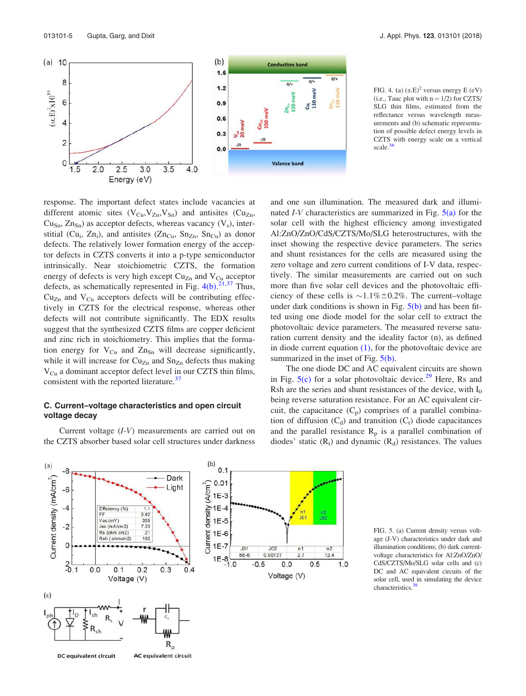

FIG. 4. (a)  $(\alpha.E)^2$  versus energy E (eV) (i.e., Tauc plot with  $n = 1/2$ ) for CZTS/ SLG thin films, estimated from the reflectance versus wavelength measurements and (b) schematic representation of possible defect energy levels in CZTS with energy scale on a vertical scale.<sup>36</sup>

response. The important defect states include vacancies at different atomic sites  $(V_{Cu}, V_{Zn}, V_{Sn})$  and antisites  $(Cu_{Zn},$  $Cu<sub>Sn</sub>, Zn<sub>Sn</sub>$ ) as acceptor defects, whereas vacancy  $(V<sub>s</sub>)$ , interstitial (Cu<sub>i</sub>, Zn<sub>i</sub>), and antisites (Zn<sub>Cu</sub>, Sn<sub>Zn</sub>, Sn<sub>Cu</sub>) as donor defects. The relatively lower formation energy of the acceptor defects in CZTS converts it into a p-type semiconductor intrinsically. Near stoichiometric CZTS, the formation energy of defects is very high except  $Cu_{Zn}$  and  $V_{Cu}$  acceptor defects, as schematically represented in Fig.  $4(b)$ .<sup>21,37</sup> Thus,  $Cu_{Zn}$  and  $V_{Cu}$  acceptors defects will be contributing effectively in CZTS for the electrical response, whereas other defects will not contribute significantly. The EDX results suggest that the synthesized CZTS films are copper deficient and zinc rich in stoichiometry. This implies that the formation energy for  $V_{Cu}$  and  $Zn_{Sn}$  will decrease significantly, while it will increase for  $Cu_{Zn}$  and  $Sn_{Zn}$  defects thus making  $V_{Cu}$  a dominant acceptor defect level in our CZTS thin films, consistent with the reported literature.<sup>37</sup>

## C. Current–voltage characteristics and open circuit voltage decay

Current voltage (I-V) measurements are carried out on the CZTS absorber based solar cell structures under darkness and one sun illumination. The measured dark and illuminated  $I-V$  characteristics are summarized in Fig.  $5(a)$  for the solar cell with the highest efficiency among investigated Al:ZnO/ZnO/CdS/CZTS/Mo/SLG heterostructures, with the inset showing the respective device parameters. The series and shunt resistances for the cells are measured using the zero voltage and zero current conditions of I-V data, respectively. The similar measurements are carried out on such more than five solar cell devices and the photovoltaic efficiency of these cells is  $\sim 1.1\% \pm 0.2\%$ . The current–voltage under dark conditions is shown in Fig.  $5(b)$  and has been fitted using one diode model for the solar cell to extract the photovoltaic device parameters. The measured reverse saturation current density and the ideality factor (n), as defined in diode current equation  $(1)$ , for the photovoltaic device are summarized in the inset of Fig.  $5(b)$ .

The one diode DC and AC equivalent circuits are shown in Fig.  $5(c)$  for a solar photovoltaic device.<sup>29</sup> Here, Rs and Rsh are the series and shunt resistances of the device, with  $I_0$ being reverse saturation resistance. For an AC equivalent circuit, the capacitance  $(C_p)$  comprises of a parallel combination of diffusion  $(C_d)$  and transition  $(C_t)$  diode capacitances and the parallel resistance  $R_p$  is a parallel combination of diodes' static  $(R_t)$  and dynamic  $(R_d)$  resistances. The values



FIG. 5. (a) Current density versus voltage (J-V) characteristics under dark and illumination conditions; (b) dark currentvoltage characteristics for Al:ZnO/ZnO/ CdS/CZTS/Mo/SLG solar cells and (c) DC and AC equivalent circuits of the solar cell, used in simulating the device characteristics.<sup>38</sup>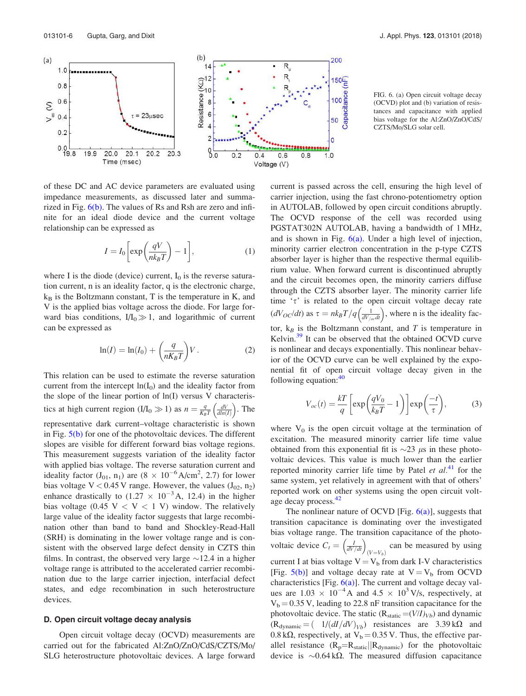

of these DC and AC device parameters are evaluated using impedance measurements, as discussed later and summarized in Fig. 6(b). The values of Rs and Rsh are zero and infinite for an ideal diode device and the current voltage relationship can be expressed as

$$
I = I_0 \left[ \exp\left(\frac{qV}{nk_BT}\right) - 1 \right],\tag{1}
$$

where I is the diode (device) current,  $I_0$  is the reverse saturation current, n is an ideality factor, q is the electronic charge,  $k_B$  is the Boltzmann constant, T is the temperature in K, and V is the applied bias voltage across the diode. For large forward bias conditions,  $I/I_0 \gg 1$ , and logarithmic of current can be expressed as

$$
\ln(I) = \ln(I_0) + \left(\frac{q}{nK_B T}\right) V. \tag{2}
$$

This relation can be used to estimate the reverse saturation current from the intercept  $ln(I_0)$  and the ideality factor from the slope of the linear portion of ln(I) versus V characteristics at high current region  $(I/I_0 \gg 1)$  as  $n = \frac{q}{K_B T} \left( \frac{dV}{d \ln(I)} \right)$ . The representative dark current–voltage characteristic is shown in Fig.  $5(b)$  for one of the photovoltaic devices. The different slopes are visible for different forward bias voltage regions. This measurement suggests variation of the ideality factor with applied bias voltage. The reverse saturation current and ideality factor  $(J_{01}, n_1)$  are  $(8 \times 10^{-6} \text{A/cm}^2, 2.7)$  for lower bias voltage V < 0.45 V range. However, the values  $(J_{02}, n_2)$ enhance drastically to  $(1.27 \times 10^{-3} \text{A}, 12.4)$  in the higher bias voltage (0.45 V  $\lt V \lt 1$  V) window. The relatively large value of the ideality factor suggests that large recombination other than band to band and Shockley-Read-Hall (SRH) is dominating in the lower voltage range and is consistent with the observed large defect density in CZTS thin films. In contrast, the observed very large  $\sim$ 12.4 in a higher voltage range is attributed to the accelerated carrier recombination due to the large carrier injection, interfacial defect states, and edge recombination in such heterostructure devices.

#### D. Open circuit voltage decay analysis

Open circuit voltage decay (OCVD) measurements are carried out for the fabricated Al:ZnO/ZnO/CdS/CZTS/Mo/ SLG heterostructure photovoltaic devices. A large forward

FIG. 6. (a) Open circuit voltage decay (OCVD) plot and (b) variation of resistances and capacitance with applied bias voltage for the Al:ZnO/ZnO/CdS/ CZTS/Mo/SLG solar cell.

current is passed across the cell, ensuring the high level of carrier injection, using the fast chrono-potentiometry option in AUTOLAB, followed by open circuit conditions abruptly. The OCVD response of the cell was recorded using PGSTAT302N AUTOLAB, having a bandwidth of 1 MHz, and is shown in Fig.  $6(a)$ . Under a high level of injection, minority carrier electron concentration in the p-type CZTS absorber layer is higher than the respective thermal equilibrium value. When forward current is discontinued abruptly and the circuit becomes open, the minority carriers diffuse through the CZTS absorber layer. The minority carrier life time  $\tau$  is related to the open circuit voltage decay rate  $(dV_{OC}/dt)$  as  $\tau = nk_BT/q\left(\frac{1}{dV_{loc}/dt}\right)$ , where n is the ideality factor,  $k_B$  is the Boltzmann constant, and T is temperature in Kelvin.<sup>39</sup> It can be observed that the obtained OCVD curve is nonlinear and decays exponentially. This nonlinear behavior of the OCVD curve can be well explained by the exponential fit of open circuit voltage decay given in the following equation: $40$ 

$$
V_{oc}(t) = \frac{kT}{q} \left[ \exp\left(\frac{qV_0}{k_B T} - 1\right) \right] \exp\left(\frac{-t}{\tau}\right),\tag{3}
$$

where  $V_0$  is the open circuit voltage at the termination of excitation. The measured minority carrier life time value obtained from this exponential fit is  $\sim$ 23  $\mu$ s in these photovoltaic devices. This value is much lower than the earlier reported minority carrier life time by Patel  $et al.<sup>41</sup>$  for the same system, yet relatively in agreement with that of others' reported work on other systems using the open circuit voltage decay process.<sup>42</sup>

The nonlinear nature of OCVD [Fig.  $6(a)$ ], suggests that transition capacitance is dominating over the investigated bias voltage range. The transition capacitance of the photovoltaic device  $C_t = \left(\frac{I}{dV/dt}\right)_{(V=V_b)}$  can be measured by using current I at bias voltage  $V = V<sub>b</sub>$  from dark I-V characteristics [Fig.  $5(b)$ ] and voltage decay rate at  $V = V_b$  from OCVD characteristics [Fig.  $6(a)$ ]. The current and voltage decay values are  $1.03 \times 10^{-4}$  A and  $4.5 \times 10^{3}$  V/s, respectively, at  $V_b = 0.35$  V, leading to 22.8 nF transition capacitance for the photovoltaic device. The static  $(R_{static} = (V/I)_{Vb})$  and dynamic  $(R_{\text{dynamic}} = (1/(dI/dV)_{Vb})$  resistances are 3.39 k $\Omega$  and 0.8 k $\Omega$ , respectively, at V<sub>b</sub> = 0.35 V. Thus, the effective parallel resistance  $(R_p=R_{static}||R_{dynamic})$  for the photovoltaic device is  $\sim 0.64 \text{ k}\Omega$ . The measured diffusion capacitance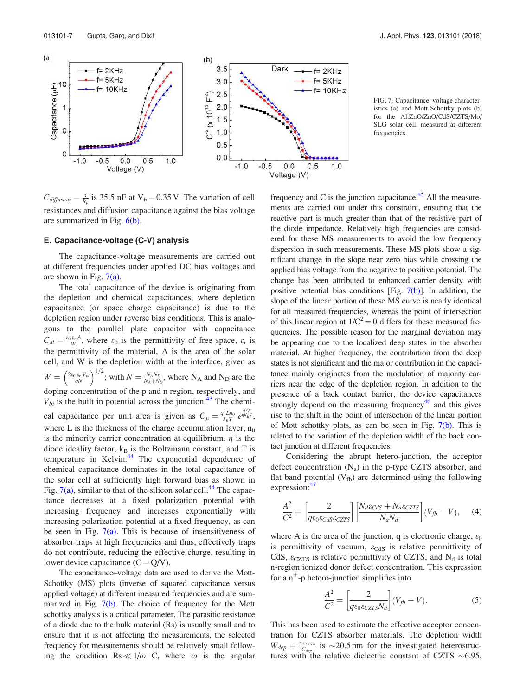

 $C_{diffusion} = \frac{\tau}{R_p}$  is 35.5 nF at V<sub>b</sub> = 0.35 V. The variation of cell resistances and diffusion capacitance against the bias voltage are summarized in Fig. 6(b).

#### E. Capacitance-voltage (C-V) analysis

The capacitance-voltage measurements are carried out at different frequencies under applied DC bias voltages and are shown in Fig.  $7(a)$ .

The total capacitance of the device is originating from the depletion and chemical capacitances, where depletion capacitance (or space charge capacitance) is due to the depletion region under reverse bias conditions. This is analogous to the parallel plate capacitor with capacitance  $C_{dl} = \frac{\varepsilon_0 \varepsilon_r A}{W}$ , where  $\varepsilon_0$  is the permittivity of free space,  $\varepsilon_r$  is the permittivity of the material, A is the area of the solar cell, and W is the depletion width at the interface, given as  $W = \left(\frac{2\varepsilon_0 \varepsilon_v V_{bi}}{qN}\right)^{1/2}$ ; with  $N = \frac{N_A N_D}{N_A + N_D}$ , where N<sub>A</sub> and N<sub>D</sub> are the doping concentration of the p and n region, respectively, and  $V_{bi}$  is the built in potential across the junction.<sup>43</sup> The chemical capacitance per unit area is given as  $C_{\mu} = \frac{q^2 L n_0}{k_B T} e^{\frac{qV_F}{q r K_B T}}$ , where L is the thickness of the charge accumulation layer,  $n_0$ is the minority carrier concentration at equilibrium,  $\eta$  is the diode ideality factor,  $k_B$  is the Boltzmann constant, and T is temperature in Kelvin.<sup>44</sup> The exponential dependence of chemical capacitance dominates in the total capacitance of the solar cell at sufficiently high forward bias as shown in Fig.  $7(a)$ , similar to that of the silicon solar cell.<sup>44</sup> The capacitance decreases at a fixed polarization potential with increasing frequency and increases exponentially with increasing polarization potential at a fixed frequency, as can be seen in Fig.  $7(a)$ . This is because of insensitiveness of absorber traps at high frequencies and thus, effectively traps do not contribute, reducing the effective charge, resulting in lower device capacitance  $(C = Q/V)$ .

The capacitance–voltage data are used to derive the Mott-Schottky (MS) plots (inverse of squared capacitance versus applied voltage) at different measured frequencies and are summarized in Fig. 7(b). The choice of frequency for the Mott schottky analysis is a critical parameter. The parasitic resistance of a diode due to the bulk material (Rs) is usually small and to ensure that it is not affecting the measurements, the selected frequency for measurements should be relatively small following the condition Rs  $\ll 1/\omega$  C, where  $\omega$  is the angular

FIG. 7. Capacitance–voltage characteristics (a) and Mott-Schottky plots (b) for the Al:ZnO/ZnO/CdS/CZTS/Mo/ SLG solar cell, measured at different frequencies.

frequency and C is the junction capacitance. $45$  All the measurements are carried out under this constraint, ensuring that the reactive part is much greater than that of the resistive part of the diode impedance. Relatively high frequencies are considered for these MS measurements to avoid the low frequency dispersion in such measurements. These MS plots show a significant change in the slope near zero bias while crossing the applied bias voltage from the negative to positive potential. The change has been attributed to enhanced carrier density with positive potential bias conditions [Fig.  $7(b)$ ]. In addition, the slope of the linear portion of these MS curve is nearly identical for all measured frequencies, whereas the point of intersection of this linear region at  $1/C^2 = 0$  differs for these measured frequencies. The possible reason for the marginal deviation may be appearing due to the localized deep states in the absorber material. At higher frequency, the contribution from the deep states is not significant and the major contribution in the capacitance mainly originates from the modulation of majority carriers near the edge of the depletion region. In addition to the presence of a back contact barrier, the device capacitances strongly depend on the measuring frequency $46$  and this gives rise to the shift in the point of intersection of the linear portion of Mott schottky plots, as can be seen in Fig. 7(b). This is related to the variation of the depletion width of the back contact junction at different frequencies.

Considering the abrupt hetero-junction, the acceptor defect concentration  $(N_a)$  in the p-type CZTS absorber, and flat band potential  $(V_{fb})$  are determined using the following expression:<sup>47</sup>

$$
\frac{A^2}{C^2} = \left[\frac{2}{q\epsilon_0 \epsilon_{CdS} \epsilon_{CZTS}}\right] \left[\frac{N_d \epsilon_{CdS} + N_a \epsilon_{CZTS}}{N_a N_d}\right] (V_{fb} - V), \quad (4)
$$

where A is the area of the junction, q is electronic charge,  $\varepsilon_0$ is permittivity of vacuum,  $\varepsilon_{\text{CdS}}$  is relative permittivity of CdS,  $\varepsilon_{\text{CZTS}}$  is relative permittivity of CZTS, and N<sub>d</sub> is total n-region ionized donor defect concentration. This expression for a  $n^+$ -p hetero-junction simplifies into

$$
\frac{A^2}{C^2} = \left[\frac{2}{q\epsilon_0\varepsilon_{CZTS}N_a}\right](V_{fb} - V). \tag{5}
$$

This has been used to estimate the effective acceptor concentration for CZTS absorber materials. The depletion width  $W_{dep} = \frac{\varepsilon_0 \varepsilon_{CTTS}}{C_{dep}}$  is  $\sim$ 20.5 nm for the investigated heterostructures with the relative dielectric constant of CZTS  $\sim 6.95$ ,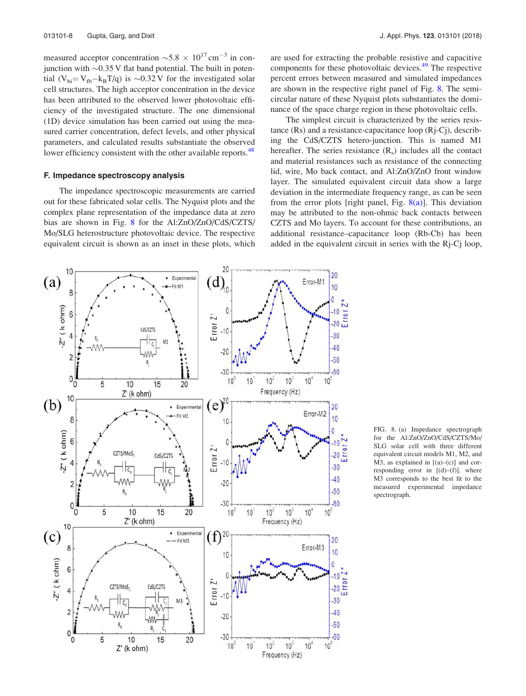measured acceptor concentration  $\sim 5.8 \times 10^{17}$  cm<sup>-3</sup> in conjunction with  $\sim 0.35$  V flat band potential. The built in potential (V<sub>bi</sub>= V<sub>fb</sub>-k<sub>B</sub>T/q) is ~0.32 V for the investigated solar cell structures. The high acceptor concentration in the device has been attributed to the observed lower photovoltaic efficiency of the investigated structure. The one dimensional (1D) device simulation has been carried out using the measured carrier concentration, defect levels, and other physical parameters, and calculated results substantiate the observed lower efficiency consistent with the other available reports.<sup>48</sup>

### F. Impedance spectroscopy analysis

The impedance spectroscopic measurements are carried out for these fabricated solar cells. The Nyquist plots and the complex plane representation of the impedance data at zero bias are shown in Fig. 8 for the Al:ZnO/ZnO/CdS/CZTS/ Mo/SLG heterostructure photovoltaic device. The respective equivalent circuit is shown as an inset in these plots, which

The simplest circuit is characterized by the series resistance (Rs) and a resistance-capacitance loop (Rj-Cj), describing the CdS/CZTS hetero-junction. This is named M1 hereafter. The series resistance  $(R_s)$  includes all the contact and material resistances such as resistance of the connecting lid, wire, Mo back contact, and Al:ZnO/ZnO front window layer. The simulated equivalent circuit data show a large deviation in the intermediate frequency range, as can be seen from the error plots [right panel, Fig.  $8(a)$ ]. This deviation may be attributed to the non-ohmic back contacts between CZTS and Mo layers. To account for these contributions, an additional resistance–capacitance loop (Rb-Cb) has been added in the equivalent circuit in series with the Rj-Cj loop,

20 10 20  $\star$  Experimental  $(a)$  $(d)$ Error-M1 Fit M1 10 ۱n 8  $-2"$  ( $k$  ohm)  $\overline{0}$ 6 Error<sub>Z</sub>" CdS/CZTS  $-10$  $\overline{4}$  $-30$ M1 ⊤ا د  $-40$  $-20$ -MA- $\overline{2}$  $-50$ R,  $-30$  $-60$  $0_0$  $10<sup>2</sup>$  $10<sup>5</sup>$  $10<sup>0</sup>$ 10  $10<sup>3</sup>$  $10<sup>4</sup>$ 5 10 15 20 Frequency (Hz)  $Z'$  (k ohm) 10  $(e)^{20}$  $(b)$  $20$ \* Experimenta Error-M2 Fit M2 10 8  $10<sub>1</sub>$  $-2"$  ( $k$  ohm) 6 ſ Error<sub>Z</sub>" CZTS/MoS- $20<sup>°</sup>$ CdS/CZTS  $-10$ 4  $-30$  $-40$  $\overline{2}$  $-20$  $-50$  $-30$  $-60$  $0<sup>1</sup>$  $\overline{5}$  $\sigma$ 10 15  $20$  $10^{\circ}$ 10  $10<sup>2</sup>$  $10<sup>3</sup>$  $10<sup>4</sup>$  $10^{\circ}$  $Z'$  (k ohm) Frequency (Hz) 10  $(c)$  $\star$  Experimental 20  $(f)$  $20$ Fit M3 8 Error-M3  $10$  $10<sub>1</sub>$  $Z''$  ( $k$  ohm) 6  $\mathbf{0}$ Error<sub>Z</sub>' CZTS/MoS CdS/CZTS 4  $-10$  $-30$  $\overline{\mathbf{c}}$  $-40$  $-20$ Ŕ,  $-50$ R.  $0<sup>1</sup>$  $-30$  $-60$ 0 5  $10$ 15 20  $10<sup>5</sup>$  $10<sup>°</sup>$ 10  $10<sup>3</sup>$  $10<sup>1</sup>$  $10<sup>4</sup>$ Z' (k ohm) Frequency (Hz)

FIG. 8. (a) Impedance spectrograph for the Al:ZnO/ZnO/CdS/CZTS/Mo/ SLG solar cell with three different equivalent circuit models M1, M2, and M3, as explained in  $[(a)-(c)]$  and corresponding error in [(d)–(f)]. where M3 corresponds to the best fit to the measured experimental impedance spectrograph.

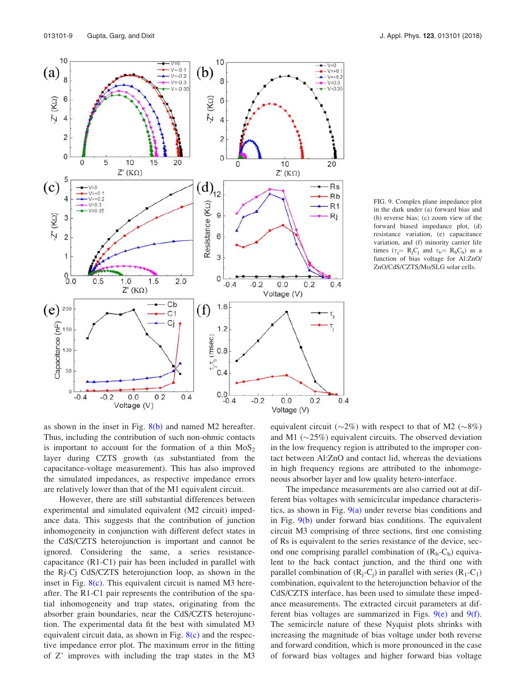10

 $\mathbf{a}$ 

6  $Z''(K\Omega)$ 

 $\overline{4}$ 

 $\overline{c}$ 

0

5

 $\Delta$ 

3

 $\overline{2}$ 

1

 $^{0.0}_{0.0}$ 

150

100

50

 $\theta$ 

 $-0.4$ 

 $(e)$ <sup>200</sup>

Capacitance (nF)

 $(c)$ 

 $-2^{n}$  (KΩ)

 $\overline{0}$ 

 $-V=0$  $V = +0.1$ 

 $-V=+0.2$ 

 $V = 0.3$ 

 $-V=0.35$ 

 $0.5$ 

 $-0.2$ 

 $1.0$ 

 $Z'$  ( $K\Omega$ )

 $0.0$ 

Voltage (V)

 $1.5$ 

5

 $(a)$ 



 $-0.2$ 

 $-0.2$ 

 $0.0$ 

Voltage (V)

 $0.0$ 

Voltage (V)

 $0.2$ 

 $0.2$ 

 $0.4$ 

 $0.4$ 

6

3

0

 $1.6$ 

 $1.2$ 

 $0.0$ <sub>-0.4</sub>

 $\frac{1}{2}$ <br>  $\frac{1}{2}$ <br>  $\frac{1}{2}$ <br>  $\frac{1}{2}$ <br>  $\frac{1}{2}$ <br>  $\frac{1}{2}$ 

 $(f)$ 

 $-0.4$ 

 $2.0$ 

Cb

 $C<sub>1</sub>$ Cj

FIG. 9. Complex plane impedance plot in the dark under (a) forward bias and (b) reverse bias; (c) zoom view of the forward biased impedance plot, (d) resistance variation, (e) capacitance variation, and (f) minority carrier life times ( $\tau_j = R_j C_j$  and  $\tau_b = R_b C_b$ ) as a function of bias voltage for Al:ZnO/ ZnO/CdS/CZTS/Mo/SLG solar cells.

as shown in the inset in Fig.  $8(b)$  and named M2 hereafter. Thus, including the contribution of such non-ohmic contacts is important to account for the formation of a thin  $MoS<sub>2</sub>$ layer during CZTS growth (as substantiated from the capacitance-voltage measurement). This has also improved the simulated impedances, as respective impedance errors are relatively lower than that of the M1 equivalent circuit.

 $0.2$ 

 $0.4$ 

However, there are still substantial differences between experimental and simulated equivalent (M2 circuit) impedance data. This suggests that the contribution of junction inhomogeneity in conjunction with different defect states in the CdS/CZTS heterojunction is important and cannot be ignored. Considering the same, a series resistancecapacitance (R1-C1) pair has been included in parallel with the Rj-Cj CdS/CZTS heterojunction loop, as shown in the inset in Fig. 8(c). This equivalent circuit is named M3 hereafter. The R1-C1 pair represents the contribution of the spatial inhomogeneity and trap states, originating from the absorber grain boundaries, near the CdS/CZTS heterojunction. The experimental data fit the best with simulated M3 equivalent circuit data, as shown in Fig.  $8(c)$  and the respective impedance error plot. The maximum error in the fitting of Z' improves with including the trap states in the M3 equivalent circuit ( $\sim$ 2%) with respect to that of M2 ( $\sim$ 8%) and M1  $(\sim 25\%)$  equivalent circuits. The observed deviation in the low frequency region is attributed to the improper contact between Al:ZnO and contact lid, whereas the deviations in high frequency regions are attributed to the inhomogeneous absorber layer and low quality hetero-interface.

The impedance measurements are also carried out at different bias voltages with semicircular impedance characteristics, as shown in Fig.  $9(a)$  under reverse bias conditions and in Fig. 9(b) under forward bias conditions. The equivalent circuit M3 comprising of three sections, first one consisting of Rs is equivalent to the series resistance of the device, second one comprising parallel combination of  $(R_b - C_b)$  equivalent to the back contact junction, and the third one with parallel combination of  $(R_j - C_j)$  in parallel with series  $(R_1 - C_1)$ combination, equivalent to the heterojunction behavior of the CdS/CZTS interface, has been used to simulate these impedance measurements. The extracted circuit parameters at different bias voltages are summarized in Figs. 9(e) and 9(f). The semicircle nature of these Nyquist plots shrinks with increasing the magnitude of bias voltage under both reverse and forward condition, which is more pronounced in the case of forward bias voltages and higher forward bias voltage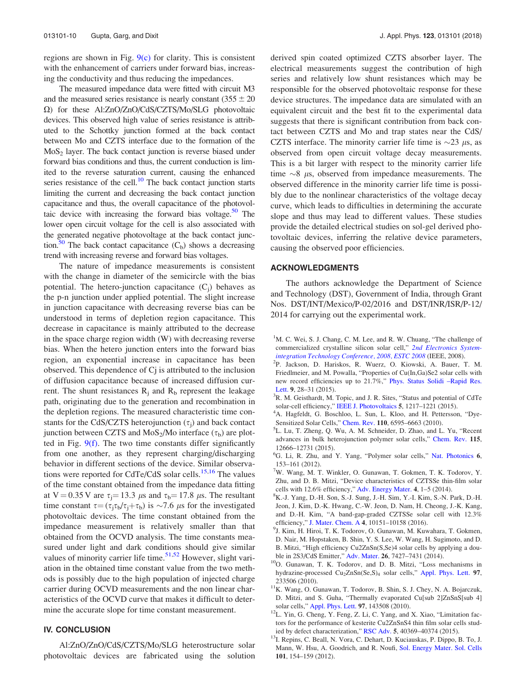regions are shown in Fig. 9(c) for clarity. This is consistent with the enhancement of carriers under forward bias, increasing the conductivity and thus reducing the impedances.

The measured impedance data were fitted with circuit M3 and the measured series resistance is nearly constant  $(355 \pm 20)$  $\Omega$ ) for these Al:ZnO/ZnO/CdS/CZTS/Mo/SLG photovoltaic devices. This observed high value of series resistance is attributed to the Schottky junction formed at the back contact between Mo and CZTS interface due to the formation of the  $MoS<sub>2</sub>$  layer. The back contact junction is reverse biased under forward bias conditions and thus, the current conduction is limited to the reverse saturation current, causing the enhanced series resistance of the cell. $10$  The back contact junction starts limiting the current and decreasing the back contact junction capacitance and thus, the overall capacitance of the photovoltaic device with increasing the forward bias voltage.<sup>50</sup> The lower open circuit voltage for the cell is also associated with the generated negative photovoltage at the back contact junction.<sup>50</sup> The back contact capacitance  $(C_b)$  shows a decreasing trend with increasing reverse and forward bias voltages.

The nature of impedance measurements is consistent with the change in diameter of the semicircle with the bias potential. The hetero-junction capacitance  $(C_j)$  behaves as the p-n junction under applied potential. The slight increase in junction capacitance with decreasing reverse bias can be understood in terms of depletion region capacitance. This decrease in capacitance is mainly attributed to the decrease in the space charge region width (W) with decreasing reverse bias. When the hetero junction enters into the forward bias region, an exponential increase in capacitance has been observed. This dependence of Cj is attributed to the inclusion of diffusion capacitance because of increased diffusion current. The shunt resistances  $R_i$  and  $R_b$  represent the leakage path, originating due to the generation and recombination in the depletion regions. The measured characteristic time constants for the CdS/CZTS heterojunction  $(\tau_j)$  and back contact junction between CZTS and  $MoS<sub>2</sub>/Mo$  interface ( $\tau_b$ ) are plotted in Fig. 9(f). The two time constants differ significantly from one another, as they represent charging/discharging behavior in different sections of the device. Similar observations were reported for CdTe/CdS solar cells.<sup>15,16</sup> The values of the time constant obtained from the impedance data fitting at V = 0.35 V are  $\tau_i$  = 13.3  $\mu$ s and  $\tau_b$  = 17.8  $\mu$ s. The resultant time constant  $\tau = (\tau_j \tau_b / \tau_j + \tau_b)$  is  $\sim$ 7.6  $\mu$ s for the investigated photovoltaic devices. The time constant obtained from the impedance measurement is relatively smaller than that obtained from the OCVD analysis. The time constants measured under light and dark conditions should give similar values of minority carrier life time.<sup>51,52</sup> However, slight variation in the obtained time constant value from the two methods is possibly due to the high population of injected charge carrier during OCVD measurements and the non linear characteristics of the OCVD curve that makes it difficult to determine the accurate slope for time constant measurement.

## IV. CONCLUSION

Al:ZnO/ZnO/CdS/CZTS/Mo/SLG heterostructure solar photovoltaic devices are fabricated using the solution derived spin coated optimized CZTS absorber layer. The electrical measurements suggest the contribution of high series and relatively low shunt resistances which may be responsible for the observed photovoltaic response for these device structures. The impedance data are simulated with an equivalent circuit and the best fit to the experimental data suggests that there is significant contribution from back contact between CZTS and Mo and trap states near the CdS/ CZTS interface. The minority carrier life time is  $\sim$ 23  $\mu$ s, as observed from open circuit voltage decay measurements. This is a bit larger with respect to the minority carrier life time  $\sim$ 8  $\mu$ s, observed from impedance measurements. The observed difference in the minority carrier life time is possibly due to the nonlinear characteristics of the voltage decay curve, which leads to difficulties in determining the accurate slope and thus may lead to different values. These studies provide the detailed electrical studies on sol-gel derived photovoltaic devices, inferring the relative device parameters, causing the observed poor efficiencies.

## ACKNOWLEDGMENTS

The authors acknowledge the Department of Science and Technology (DST), Government of India, through Grant Nos. DST/INT/Mexico/P-02/2016 and DST/INR/ISR/P-12/ 2014 for carrying out the experimental work.

- ${}^{1}$ M. C. Wei, S. J. Chang, C. M. Lee, and R. W. Chuang, "The challenge of commercialized crystalline silicon solar cell," 2nd Electronics Systemintegration Technology Conference, 2008, ESTC 2008 (IEEE, 2008).
- 2 P. Jackson, D. Hariskos, R. Wuerz, O. Kiowski, A. Bauer, T. M. Friedlmeier, and M. Powalla, "Properties of Cu(In,Ga)Se2 solar cells with new record efficiencies up to 21.7%," Phys. Status Solidi –Rapid Res. Lett. 9, 28–31 (2015).
- <sup>3</sup>R. M. Geisthardt, M. Topic, and J. R. Sites, "Status and potential of CdTe solar-cell efficiency," IEEE J. Photovoltaics 5, 1217–1221 (2015).
- <sup>4</sup>A. Hagfeldt, G. Boschloo, L. Sun, L. Kloo, and H. Pettersson, "Dye-Sensitized Solar Cells," Chem. Rev. 110, 6595–6663 (2010).
- 5 L. Lu, T. Zheng, Q. Wu, A. M. Schneider, D. Zhao, and L. Yu, "Recent advances in bulk heterojunction polymer solar cells," Chem. Rev. 115, 12666–12731 (2015).
- <sup>6</sup>G. Li, R. Zhu, and Y. Yang, "Polymer solar cells," Nat. Photonics 6, 153–161 (2012).
- <sup>7</sup>W. Wang, M. T. Winkler, O. Gunawan, T. Gokmen, T. K. Todorov, Y. Zhu, and D. B. Mitzi, "Device characteristics of CZTSSe thin-film solar cells with 12.6% efficiency," Adv. Energy Mater. 4, 1–5 (2014).
- <sup>8</sup>K.-J. Yang, D.-H. Son, S.-J. Sung, J.-H. Sim, Y.-I. Kim, S.-N. Park, D.-H. Jeon, J. Kim, D.-K. Hwang, C.-W. Jeon, D. Nam, H. Cheong, J.-K. Kang, and D.-H. Kim, "A band-gap-graded CZTSSe solar cell with 12.3% efficiency," J. Mater. Chem. A 4, 10151–10158 (2016).
- 9 J. Kim, H. Hiroi, T. K. Todorov, O. Gunawan, M. Kuwahara, T. Gokmen, D. Nair, M. Hopstaken, B. Shin, Y. S. Lee, W. Wang, H. Sugimoto, and D. B. Mitzi, "High efficiency Cu2ZnSn(S,Se)4 solar cells by applying a double in 2S3/CdS Emitter," Adv. Mater. 26, 7427–7431 (2014).
- <sup>10</sup>O. Gunawan, T. K. Todorov, and D. B. Mitzi, "Loss mechanisms in hydrazine-processed Cu<sub>2</sub>ZnSn(Se,S)<sub>4</sub> solar cells," Appl. Phys. Lett. 97, 233506 (2010).
- <sup>11</sup>K. Wang, O. Gunawan, T. Todorov, B. Shin, S. J. Chey, N. A. Bojarczuk, D. Mitzi, and S. Guha, "Thermally evaporated Cu[sub 2]ZnSnS[sub 4] solar cells," Appl. Phys. Lett. 97, 143508 (2010).
- <sup>12</sup>L. Yin, G. Cheng, Y. Feng, Z. Li, C. Yang, and X. Xiao, "Limitation factors for the performance of kesterite Cu2ZnSnS4 thin film solar cells studied by defect characterization," RSC Adv. 5, 40369–40374 (2015).
- <sup>13</sup>I. Repins, C. Beall, N. Vora, C. Dehart, D. Kuciauskas, P. Dippo, B. To, J. Mann, W. Hsu, A. Goodrich, and R. Noufi, Sol. Energy Mater. Sol. Cells 101, 154–159 (2012).